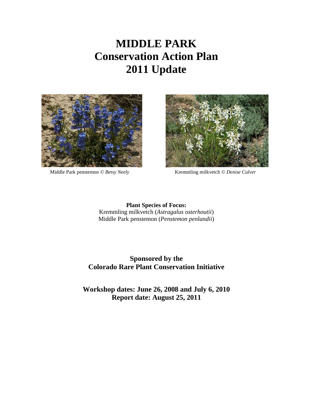# **MIDDLE PARK Conservation Action Plan 2011 Update**





Middle Park penstemon *© Betsy Neely* Kremmling milkvetch *© Denise Culver* 

**Plant Species of Focus:** Kremmling milkvetch (*Astragalus osterhoutii*) Middle Park penstemon (*Penstemon penlandii*)

### **Sponsored by the Colorado Rare Plant Conservation Initiative**

**Workshop dates: June 26, 2008 and July 6, 2010 Report date: August 25, 2011**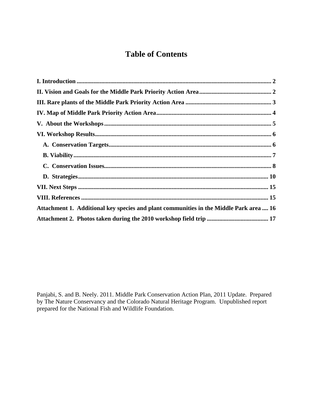# **Table of Contents**

| Attachment 1. Additional key species and plant communities in the Middle Park area  16 |  |
|----------------------------------------------------------------------------------------|--|
|                                                                                        |  |

Panjabi, S. and B. Neely. 2011. Middle Park Conservation Action Plan, 2011 Update. Prepared by The Nature Conservancy and the Colorado Natural Heritage Program. Unpublished report prepared for the National Fish and Wildlife Foundation.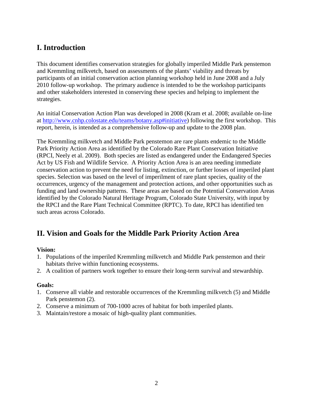# <span id="page-2-0"></span>**I. Introduction**

This document identifies conservation strategies for globally imperiled Middle Park penstemon and Kremmling milkvetch, based on assessments of the plants' viability and threats by participants of an initial conservation action planning workshop held in June 2008 and a July 2010 follow-up workshop. The primary audience is intended to be the workshop participants and other stakeholders interested in conserving these species and helping to implement the strategies.

An initial Conservation Action Plan was developed in 2008 (Kram et al. 2008; available on-line at [http://www.cnhp.colostate.edu/teams/botany.asp#initiative\)](http://www.cnhp.colostate.edu/teams/botany.asp#initiative) following the first workshop. This report, herein, is intended as a comprehensive follow-up and update to the 2008 plan.

The Kremmling milkvetch and Middle Park penstemon are rare plants endemic to the Middle Park Priority Action Area as identified by the Colorado Rare Plant Conservation Initiative (RPCI, Neely et al. 2009). Both species are listed as endangered under the Endangered Species Act by US Fish and Wildlife Service. A Priority Action Area is an area needing immediate conservation action to prevent the need for listing, extinction, or further losses of imperiled plant species. Selection was based on the level of imperilment of rare plant species, quality of the occurrences, urgency of the management and protection actions, and other opportunities such as funding and land ownership patterns. These areas are based on the Potential Conservation Areas identified by the Colorado Natural Heritage Program, Colorado State University, with input by the RPCI and the Rare Plant Technical Committee (RPTC). To date, RPCI has identified ten such areas across Colorado.

# <span id="page-2-1"></span>**II. Vision and Goals for the Middle Park Priority Action Area**

### **Vision:**

- 1. Populations of the imperiled Kremmling milkvetch and Middle Park penstemon and their habitats thrive within functioning ecosystems.
- 2. A coalition of partners work together to ensure their long-term survival and stewardship.

#### **Goals:**

- 1. Conserve all viable and restorable occurrences of the Kremmling milkvetch (5) and Middle Park penstemon (2).
- 2. Conserve a minimum of 700-1000 acres of habitat for both imperiled plants.
- 3. Maintain/restore a mosaic of high-quality plant communities.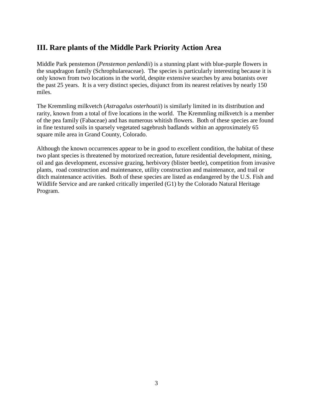## <span id="page-3-0"></span>**III. Rare plants of the Middle Park Priority Action Area**

Middle Park penstemon (*Penstemon penlandii*) is a stunning plant with blue-purple flowers in the snapdragon family (Schrophulareaceae). The species is particularly interesting because it is only known from two locations in the world, despite extensive searches by area botanists over the past 25 years. It is a very distinct species, disjunct from its nearest relatives by nearly 150 miles.

The Kremmling milkvetch (*Astragalus osterhoutii*) is similarly limited in its distribution and rarity, known from a total of five locations in the world. The Kremmling milkvetch is a member of the pea family (Fabaceae) and has numerous whitish flowers. Both of these species are found in fine textured soils in sparsely vegetated sagebrush badlands within an approximately 65 square mile area in Grand County, Colorado.

Although the known occurrences appear to be in good to excellent condition, the habitat of these two plant species is threatened by motorized recreation, future residential development, mining, oil and gas development, excessive grazing, herbivory (blister beetle), competition from invasive plants, road construction and maintenance, utility construction and maintenance, and trail or ditch maintenance activities. Both of these species are listed as endangered by the U.S. Fish and Wildlife Service and are ranked critically imperiled (G1) by the Colorado Natural Heritage Program.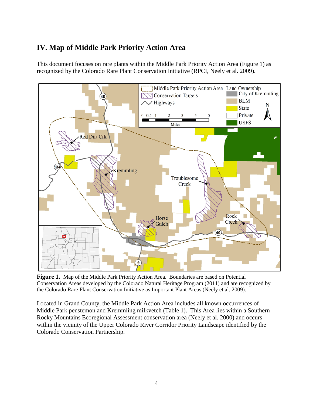# <span id="page-4-0"></span>**IV. Map of Middle Park Priority Action Area**

This document focuses on rare plants within the Middle Park Priority Action Area (Figure 1) as recognized by the Colorado Rare Plant Conservation Initiative (RPCI, Neely et al. 2009).



**Figure 1.** Map of the Middle Park Priority Action Area. Boundaries are based on Potential Conservation Areas developed by the Colorado Natural Heritage Program (2011) and are recognized by the Colorado Rare Plant Conservation Initiative as Important Plant Areas (Neely et al. 2009).

Located in Grand County, the Middle Park Action Area includes all known occurrences of Middle Park penstemon and Kremmling milkvetch (Table 1). This Area lies within a Southern Rocky Mountains Ecoregional Assessment conservation area (Neely et al. 2000) and occurs within the vicinity of the Upper Colorado River Corridor Priority Landscape identified by the Colorado Conservation Partnership.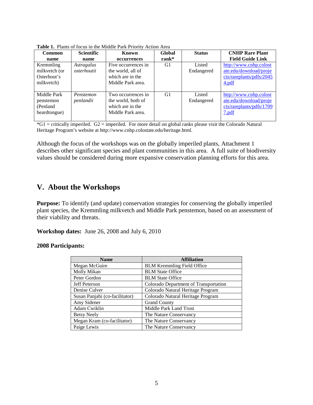| <b>Common</b><br>name<br>Kremmling<br>milkvetch (or<br>Osterhout's<br>milkvetch) | <b>Scientific</b><br>name<br>Astragalus<br>osterhoutii | Known<br>occurrences<br>Five occurrences in<br>the world, all of<br>which are in the<br>Middle Park area. | Global<br>$rank^*$<br>G1 | <b>Status</b><br>Listed<br>Endangered | <b>CNHP Rare Plant</b><br><b>Field Guide Link</b><br>http://www.cnhp.colost<br>ate.edu/download/proje<br>cts/rareplants/pdfs/2045<br>4.pdf |
|----------------------------------------------------------------------------------|--------------------------------------------------------|-----------------------------------------------------------------------------------------------------------|--------------------------|---------------------------------------|--------------------------------------------------------------------------------------------------------------------------------------------|
| Middle Park<br>penstemon<br>(Penland)<br>beardtongue)                            | Penstemon<br>penlandii                                 | Two occurrences in<br>the world, both of<br>which are in the<br>Middle Park area.                         | G1                       | Listed<br>Endangered                  | http://www.cnhp.colost<br>ate.edu/download/proje<br>cts/rareplants/pdfs/1709<br>7.pdf                                                      |

**Table 1.** Plants of focus in the Middle Park Priority Action Area

 $*G1$  = critically imperiled.  $G2$  = imperiled. For more detail on global ranks please visit the Colorado Natural Heritage Program's website at http://www.cnhp.colostate.edu/heritage.html.

<span id="page-5-0"></span>Although the focus of the workshops was on the globally imperiled plants, Attachment 1 describes other significant species and plant communities in this area. A full suite of biodiversity values should be considered during more expansive conservation planning efforts for this area.

### **V. About the Workshops**

**Purpose:** To identify (and update) conservation strategies for conserving the globally imperiled plant species, the Kremmling milkvetch and Middle Park penstemon, based on an assessment of their viability and threats.

**Workshop dates:** June 26, 2008 and July 6, 2010

#### **2008 Participants:**

| <b>Name</b>                    | <b>Affiliation</b>                    |
|--------------------------------|---------------------------------------|
| Megan McGuire                  | <b>BLM Kremmling Field Office</b>     |
| Molly Mikan                    | <b>BLM</b> State Office               |
| Peter Gordon                   | <b>BLM</b> State Office               |
| <b>Jeff Peterson</b>           | Colorado Department of Transportation |
| Denise Culver                  | Colorado Natural Heritage Program     |
| Susan Panjabi (co-facilitator) | Colorado Natural Heritage Program     |
| Amy Sidener                    | <b>Grand County</b>                   |
| Adam Cwiklin                   | Middle Park Land Trust                |
| <b>Betsy Neely</b>             | The Nature Conservancy                |
| Megan Kram (co-facilitator)    | The Nature Conservancy                |
| Paige Lewis                    | The Nature Conservancy                |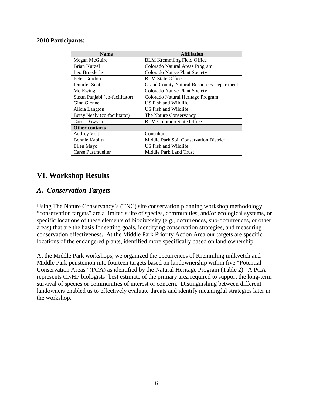#### **2010 Participants:**

| <b>Name</b>                    | <b>Affiliation</b>                               |
|--------------------------------|--------------------------------------------------|
| Megan McGuire                  | <b>BLM Kremmling Field Office</b>                |
| Brian Kurzel                   | Colorado Natural Areas Program                   |
| Leo Bruederle                  | Colorado Native Plant Society                    |
| Peter Gordon                   | <b>BLM</b> State Office                          |
| Jennifer Scott                 | <b>Grand County Natural Resources Department</b> |
| Mo Ewing                       | Colorado Native Plant Society                    |
| Susan Panjabi (co-facilitator) | Colorado Natural Heritage Program                |
| Gina Glenne                    | US Fish and Wildlife                             |
| Alicia Langton                 | US Fish and Wildlife                             |
| Betsy Neely (co-facilitator)   | The Nature Conservancy                           |
| Carol Dawson                   | <b>BLM Colorado State Office</b>                 |
| <b>Other contacts</b>          |                                                  |
| <b>Audrey Volt</b>             | Consultant                                       |
| <b>Bonnie Kablitz</b>          | Middle Park Soil Conservation District           |
| Ellen Mayo                     | US Fish and Wildlife                             |
| Carse Pustmueller              | Middle Park Land Trust                           |

### <span id="page-6-0"></span>**VI. Workshop Results**

### <span id="page-6-1"></span>*A. Conservation Targets*

Using The Nature Conservancy's (TNC) site conservation planning workshop methodology, "conservation targets" are a limited suite of species, communities, and/or ecological systems, or specific locations of these elements of biodiversity (e.g., occurrences, sub-occurrences, or other areas) that are the basis for setting goals, identifying conservation strategies, and measuring conservation effectiveness. At the Middle Park Priority Action Area our targets are specific locations of the endangered plants, identified more specifically based on land ownership.

At the Middle Park workshops, we organized the occurrences of Kremmling milkvetch and Middle Park penstemon into fourteen targets based on landownership within five "Potential Conservation Areas" (PCA) as identified by the Natural Heritage Program (Table 2). A PCA represents CNHP biologists' best estimate of the primary area required to support the long-term survival of species or communities of interest or concern. Distinguishing between different landowners enabled us to effectively evaluate threats and identify meaningful strategies later in the workshop.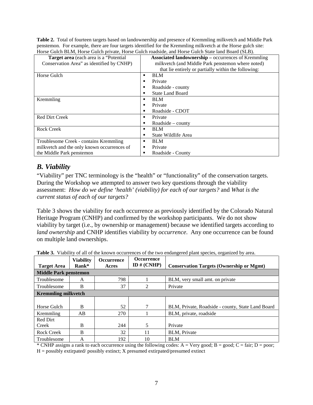**Table 2.** Total of fourteen targets based on landownership and presence of Kremmling milkvetch and Middle Park penstemon. For example, there are four targets identified for the Kremmling milkvetch at the Horse gulch site: Horse Gulch BLM, Horse Gulch private, Horse Gulch roadside, and Horse Gulch State land Board (SLB).

|                                             | Tiolog Guich Delvi, Holse Guich phyaic, Holse Guich Toadside, and Holse Guich Biaid Board (BeD). |
|---------------------------------------------|--------------------------------------------------------------------------------------------------|
| Target area (each area is a "Potential"     | <b>Associated landownership – occurrences of Kremmling</b>                                       |
| Conservation Area" as identified by CNHP)   | milkvetch (and Middle Park penstemon where noted)                                                |
|                                             | that lie entirely or partially within the following:                                             |
| Horse Gulch                                 | <b>BLM</b><br>٠                                                                                  |
|                                             | Private<br>г                                                                                     |
|                                             | Roadside - county<br>п                                                                           |
|                                             | <b>State Land Board</b><br>п                                                                     |
| Kremmling                                   | <b>BLM</b><br>٠                                                                                  |
|                                             | Private<br>п                                                                                     |
|                                             | Roadside - CDOT<br>п                                                                             |
| <b>Red Dirt Creek</b>                       | Private<br>п                                                                                     |
|                                             | Roadside $-$ county<br>п                                                                         |
| <b>Rock Creek</b>                           | <b>BLM</b><br>٠                                                                                  |
|                                             | State Wildlife Area<br>п                                                                         |
| Troublesome Creek - contains Kremmling      | <b>BLM</b><br>٠                                                                                  |
| milkvetch and the only known occurrences of | Private<br>п                                                                                     |
| the Middle Park penstemon                   | Roadside - County<br>п                                                                           |

# <span id="page-7-0"></span>*B. Viability*

"Viability" per TNC terminology is the "health" or "functionality" of the conservation targets. During the Workshop we attempted to answer two key questions through the viability assessment: *How do we define 'health' (viability) for each of our targets?* and *What is the current status of each of our targets?*

Table 3 shows the viability for each occurrence as previously identified by the Colorado Natural Heritage Program (CNHP) and confirmed by the workshop participants. We do not show viability by target (i.e., by ownership or management) because we identified targets according to *land ownership* and CNHP identifies viability by *occurrence*. Any one occurrence can be found on multiple land ownerships.

| <b>Target Area</b>           | <b>Viability</b><br>Rank* | <b>Occurrence</b><br>Acres | <b>Occurrence</b><br>ID $# (CNHP)$ | <b>Conservation Targets (Ownership or Mgmt)</b>   |  |  |  |  |  |
|------------------------------|---------------------------|----------------------------|------------------------------------|---------------------------------------------------|--|--|--|--|--|
| <b>Middle Park penstemon</b> |                           |                            |                                    |                                                   |  |  |  |  |  |
| Troublesome                  | A                         | 798                        |                                    | BLM, very small amt. on private                   |  |  |  |  |  |
| Troublesome                  | B                         | 37                         | $\overline{c}$                     | Private                                           |  |  |  |  |  |
| <b>Kremmling milkvetch</b>   |                           |                            |                                    |                                                   |  |  |  |  |  |
|                              |                           |                            |                                    |                                                   |  |  |  |  |  |
| Horse Gulch                  | B                         | 52                         | 7                                  | BLM, Private, Roadside - county, State Land Board |  |  |  |  |  |
| Kremmling                    | AB                        | 270                        |                                    | BLM, private, roadside                            |  |  |  |  |  |
| Red Dirt                     |                           |                            |                                    |                                                   |  |  |  |  |  |
| Creek                        | B                         | 244                        | 5                                  | Private                                           |  |  |  |  |  |
| <b>Rock Creek</b>            | B                         | 32                         | 11                                 | BLM, Private                                      |  |  |  |  |  |
| Troublesome                  | А                         | 192                        | 10                                 | <b>BLM</b>                                        |  |  |  |  |  |

**Table 3.** Viability of all of the known occurrences of the two endangered plant species, organized by area.

\* CNHP assigns a rank to each occurrence using the following codes: A = Very good; B = good; C = fair; D = poor;  $H =$  possibly extirpated/possibly extinct;  $X$  presumed extirpated/presumed extinct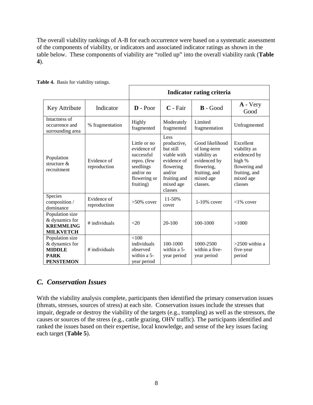The overall viability rankings of A-B for each occurrence were based on a systematic assessment of the components of viability, or indicators and associated indicator ratings as shown in the table below. These components of viability are "rolled up" into the overall viability rank (**Table 4**).

|                                                                                       |                             | Indicator rating criteria                                                                                         |                                                                                                                               |                                                                                                                         |                                                                                                               |  |  |  |  |  |
|---------------------------------------------------------------------------------------|-----------------------------|-------------------------------------------------------------------------------------------------------------------|-------------------------------------------------------------------------------------------------------------------------------|-------------------------------------------------------------------------------------------------------------------------|---------------------------------------------------------------------------------------------------------------|--|--|--|--|--|
| Key Attribute                                                                         | Indicator                   | $\mathbf{D}$ - Poor                                                                                               | C - Fair                                                                                                                      | $B - Good$                                                                                                              | $A - Very$<br>Good                                                                                            |  |  |  |  |  |
| Intactness of<br>occurrence and<br>surrounding area                                   | % fragmentation             | Highly<br>fragmented                                                                                              | Moderately<br>fragmented                                                                                                      | Limited<br>fragmentation                                                                                                | Unfragmented                                                                                                  |  |  |  |  |  |
| Population<br>structure $\&$<br>recruitment                                           | Evidence of<br>reproduction | Little or no<br>evidence of<br>successful<br>repro. (few<br>seedlings<br>and/or $no$<br>flowering or<br>fruiting) | Less<br>productive,<br>but still<br>viable with<br>evidence of<br>flowering<br>and/or<br>fruiting and<br>mixed age<br>classes | Good likelihood<br>of long-term<br>viability as<br>evidenced by<br>flowering,<br>fruiting, and<br>mixed age<br>classes. | Excellent<br>viability as<br>evidenced by<br>high %<br>flowering and<br>fruiting, and<br>mixed age<br>classes |  |  |  |  |  |
| Species<br>composition /<br>dominance                                                 | Evidence of<br>reproduction | $>50\%$ cover                                                                                                     | 11-50%<br>cover                                                                                                               | $1-10\%$ cover                                                                                                          | $<1\%$ cover                                                                                                  |  |  |  |  |  |
| Population size<br>& dynamics for<br><b>KREMMLING</b><br><b>MILKVETCH</b>             | # individuals               | <20                                                                                                               | $20 - 100$                                                                                                                    | 100-1000                                                                                                                | >1000                                                                                                         |  |  |  |  |  |
| Population size<br>& dynamics for<br><b>MIDDLE</b><br><b>PARK</b><br><b>PENSTEMON</b> | # individuals               | < 100<br>individuals<br>observed<br>within $a$ 5-<br>year period                                                  | 100-1000<br>within a $5-$<br>year period                                                                                      | 1000-2500<br>within a five-<br>year period                                                                              | $>2500$ within a<br>five-year<br>period                                                                       |  |  |  |  |  |

**Table 4.** Basis for viability ratings.

### <span id="page-8-0"></span>*C. Conservation Issues*

With the viability analysis complete, participants then identified the primary conservation issues (threats, stresses, sources of stress) at each site. Conservation issues include the stresses that impair, degrade or destroy the viability of the targets (e.g., trampling) as well as the stressors, the causes or sources of the stress (e.g., cattle grazing, OHV traffic). The participants identified and ranked the issues based on their expertise, local knowledge, and sense of the key issues facing each target (**Table 5**).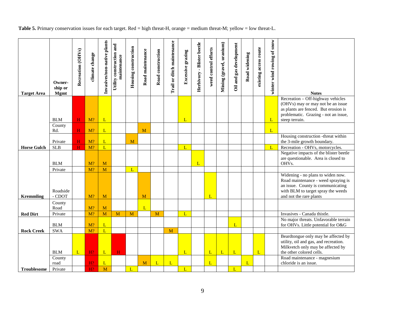|  |  |  | Table 5. Primary conservation issues for each target. Red = high threat-H, orange = medium threat-M; yellow = low threat-L. |
|--|--|--|-----------------------------------------------------------------------------------------------------------------------------|
|  |  |  |                                                                                                                             |

| <b>Target Area</b> | Owner-<br>ship or<br><b>Mgmt</b> | Recreation (OHVs) | climate change | Invasives/non-native plants | Utility construction and<br>maintenance | <b>Housing construction</b> | Road maintenance | Road construction | Trail or ditch maintenance | Excessive grazing | Herbivory - Blister beetle | weed control efforts | Mining (gravel, uranium) | Oil and gas development | Road widening | existing access route | winter wind rowing of snow | <b>Notes</b>                                                                                                                                                                   |
|--------------------|----------------------------------|-------------------|----------------|-----------------------------|-----------------------------------------|-----------------------------|------------------|-------------------|----------------------------|-------------------|----------------------------|----------------------|--------------------------|-------------------------|---------------|-----------------------|----------------------------|--------------------------------------------------------------------------------------------------------------------------------------------------------------------------------|
|                    |                                  |                   |                |                             |                                         |                             |                  |                   |                            |                   |                            |                      |                          |                         |               |                       |                            | Recreation - Off-highway vehicles<br>(OHVs) may or may not be an issue<br>as plants are fenced. But erosion is                                                                 |
|                    | <b>BLM</b>                       | H                 | $M$ ?          | L                           |                                         |                             |                  |                   |                            | $\mathbf{L}$      |                            |                      |                          |                         |               |                       | L                          | problematic. Grazing - not an issue,<br>steep terrain.                                                                                                                         |
|                    | County<br>Rd.                    | H                 | $M$ ?          | L                           |                                         |                             | M                |                   |                            |                   |                            |                      |                          |                         |               |                       | L                          |                                                                                                                                                                                |
|                    | Private                          | H                 | $M$ ?          | L                           |                                         | M                           |                  |                   |                            |                   |                            |                      |                          |                         |               |                       |                            | Housing construction -threat within<br>the 3-mile growth boundary.                                                                                                             |
| <b>Horse Gulch</b> | <b>SLB</b>                       | H                 | M?             | L                           |                                         |                             |                  |                   |                            | $\mathbf{L}$      |                            |                      |                          |                         |               |                       | L                          | Recreation - OHVs, motorcycles.                                                                                                                                                |
|                    | <b>BLM</b>                       |                   | M?             | M                           |                                         |                             |                  |                   |                            |                   | L                          |                      |                          |                         |               |                       |                            | Negative impacts of the blister beetle<br>are questionable. Area is closed to<br>OHVs.                                                                                         |
|                    | Private                          |                   | M?             | M                           |                                         | $\mathbf{L}$                |                  |                   |                            |                   |                            |                      |                          |                         |               |                       |                            |                                                                                                                                                                                |
| <b>Kremmling</b>   | Roadside<br>- CDOT               |                   | $M$ ?          | M                           |                                         |                             | M                |                   |                            |                   |                            | L                    |                          |                         |               |                       |                            | Widening - no plans to widen now.<br>Road maintenance - weed spraying is<br>an issue. County is communicating<br>with BLM to target spray the weeds<br>and not the rare plants |
|                    | County<br>Road                   |                   | $M$ ?          | M                           |                                         |                             | L                |                   |                            |                   |                            |                      |                          |                         |               |                       |                            |                                                                                                                                                                                |
| <b>Red Dirt</b>    | Private                          |                   | M?             | M                           | M                                       | M                           |                  | M                 |                            | $\mathbf{L}$      |                            |                      |                          |                         |               |                       |                            | Invasives - Canada thistle.                                                                                                                                                    |
|                    | <b>BLM</b>                       |                   | $M$ ?          | L                           |                                         |                             |                  |                   |                            |                   |                            |                      |                          | L                       |               |                       |                            | No major threats. Unfavorable terrain<br>for OHVs. Little potential for O&G                                                                                                    |
| <b>Rock Creek</b>  | <b>SWA</b>                       |                   | M?             | L                           |                                         |                             |                  |                   | M                          |                   |                            |                      |                          |                         |               |                       |                            |                                                                                                                                                                                |
|                    | <b>BLM</b>                       | $\mathbf{L}$      | H?             | $\mathbf{L}$                | $\mathbf H$                             |                             |                  |                   |                            | L                 |                            | L                    | L                        | L                       |               | $\mathbf{L}$          |                            | Beardtongue only may be affected by<br>utility, oil and gas, and recreation.<br>Milkvetch only may be affected by<br>the other colored cells.                                  |
|                    | County<br>road                   |                   | H?             | L                           |                                         |                             | M                | L                 | L                          |                   |                            | L                    |                          |                         | L             |                       |                            | Road maintenance - magnesium<br>chloride is an issue.                                                                                                                          |
| <b>Troublesome</b> | Private                          |                   | H <sup>2</sup> | M                           |                                         | $\mathbf{L}$                |                  |                   |                            | $\mathbf{L}$      |                            |                      |                          | L                       |               |                       |                            |                                                                                                                                                                                |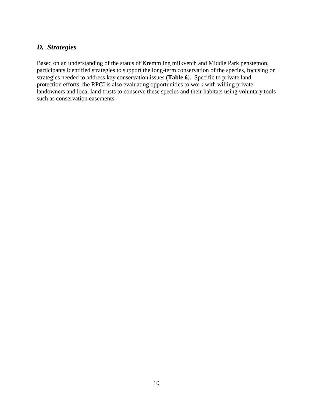### <span id="page-10-0"></span>*D. Strategies*

Based on an understanding of the status of Kremmling milkvetch and Middle Park penstemon, participants identified strategies to support the long-term conservation of the species, focusing on strategies needed to address key conservation issues (**Table 6**). Specific to private land protection efforts, the RPCI is also evaluating opportunities to work with willing private landowners and local land trusts to conserve these species and their habitats using voluntary tools such as conservation easements.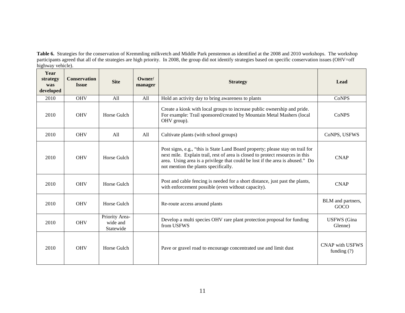**Table 6.** Strategies for the conservation of Kremmling milkvetch and Middle Park penstemon as identified at the 2008 and 2010 workshops. The workshop participants agreed that all of the strategies are high priority. In 2008, the group did not identify strategies based on specific conservation issues (OHV=off highway vehicle).

| Year<br>strategy<br>was<br>developed | <b>Conservation</b><br><b>Issue</b> | <b>Site</b>                             | Owner/<br>manager | <b>Strategy</b>                                                                                                                                                                                                                                                                          | Lead                             |
|--------------------------------------|-------------------------------------|-----------------------------------------|-------------------|------------------------------------------------------------------------------------------------------------------------------------------------------------------------------------------------------------------------------------------------------------------------------------------|----------------------------------|
| 2010                                 | <b>OHV</b>                          | All                                     | All               | Hold an activity day to bring awareness to plants                                                                                                                                                                                                                                        | <b>CoNPS</b>                     |
| 2010                                 | <b>OHV</b>                          | Horse Gulch                             |                   | Create a kiosk with local groups to increase public ownership and pride.<br>For example: Trail sponsored/created by Mountain Metal Mashers (local<br>OHV group).                                                                                                                         | CoNPS                            |
| 2010                                 | <b>OHV</b>                          | All                                     | All               | Cultivate plants (with school groups)                                                                                                                                                                                                                                                    | CoNPS, USFWS                     |
| 2010                                 | <b>OHV</b>                          | Horse Gulch                             |                   | Post signs, e.g., "this is State Land Board property; please stay on trail for<br>next mile. Explain trail, rest of area is closed to protect resources in this<br>area. Using area is a privilege that could be lost if the area is abused." Do<br>not mention the plants specifically. | <b>CNAP</b>                      |
| 2010                                 | <b>OHV</b>                          | Horse Gulch                             |                   | Post and cable fencing is needed for a short distance, just past the plants,<br>with enforcement possible (even without capacity).                                                                                                                                                       | <b>CNAP</b>                      |
| 2010                                 | <b>OHV</b>                          | Horse Gulch                             |                   | Re-route access around plants                                                                                                                                                                                                                                                            | BLM and partners,<br>GOCO        |
| 2010                                 | <b>OHV</b>                          | Priority Area-<br>wide and<br>Statewide |                   | Develop a multi species OHV rare plant protection proposal for funding<br>from USFWS                                                                                                                                                                                                     | <b>USFWS</b> (Gina<br>Glenne)    |
| 2010                                 | <b>OHV</b>                          | Horse Gulch                             |                   | Pave or gravel road to encourage concentrated use and limit dust                                                                                                                                                                                                                         | CNAP with USFWS<br>funding $(?)$ |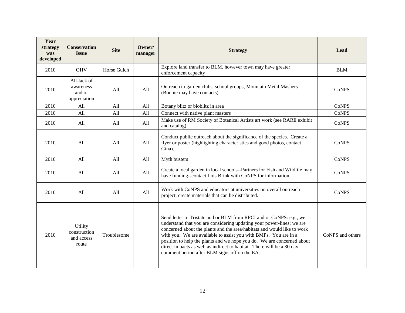| Year<br>strategy<br>was<br>developed | <b>Conservation</b><br><b>Issue</b>                | <b>Site</b> | Owner/<br>manager | <b>Strategy</b>                                                                                                                                                                                                                                                                                                                                                                                                                                                                                 | Lead             |
|--------------------------------------|----------------------------------------------------|-------------|-------------------|-------------------------------------------------------------------------------------------------------------------------------------------------------------------------------------------------------------------------------------------------------------------------------------------------------------------------------------------------------------------------------------------------------------------------------------------------------------------------------------------------|------------------|
| 2010                                 | <b>OHV</b>                                         | Horse Gulch |                   | Explore land transfer to BLM, however town may have greater<br>enforcement capacity                                                                                                                                                                                                                                                                                                                                                                                                             | <b>BLM</b>       |
| 2010                                 | All-lack of<br>awareness<br>and or<br>appreciation | All         | All               | Outreach to garden clubs, school groups, Mountain Metal Mashers<br>(Bonnie may have contacts)                                                                                                                                                                                                                                                                                                                                                                                                   | <b>CoNPS</b>     |
| 2010                                 | All                                                | All         | All               | Botany blitz or bioblitz in area                                                                                                                                                                                                                                                                                                                                                                                                                                                                | <b>CoNPS</b>     |
| 2010                                 | A11                                                | A11         | A11               | Connect with native plant masters                                                                                                                                                                                                                                                                                                                                                                                                                                                               | <b>CoNPS</b>     |
| 2010                                 | All                                                | All         | All               | Make use of RM Society of Botanical Artists art work (see RARE exhibit<br>and catalog).                                                                                                                                                                                                                                                                                                                                                                                                         | <b>CoNPS</b>     |
| 2010                                 | All                                                | All         | All               | Conduct public outreach about the significance of the species. Create a<br>flyer or poster (highlighting characteristics and good photos, contact<br>Gina).                                                                                                                                                                                                                                                                                                                                     | <b>CoNPS</b>     |
| 2010                                 | A11                                                | All         | All               | Myth busters                                                                                                                                                                                                                                                                                                                                                                                                                                                                                    | <b>CoNPS</b>     |
| 2010                                 | All                                                | All         | All               | Create a local garden in local schools--Partners for Fish and Wildlife may<br>have funding--contact Lois Brink with CoNPS for information.                                                                                                                                                                                                                                                                                                                                                      | <b>CoNPS</b>     |
| 2010                                 | A11                                                | A11         | All               | Work with CoNPS and educators at universities on overall outreach<br>project; create materials that can be distributed.                                                                                                                                                                                                                                                                                                                                                                         | <b>CoNPS</b>     |
| 2010                                 | Utility<br>construction<br>and access<br>route     | Troublesome |                   | Send letter to Tristate and or BLM from RPCI and or CoNPS: e.g., we<br>understand that you are considering updating your power-lines; we are<br>concerned about the plants and the area/habitats and would like to work<br>with you. We are available to assist you with BMPs. You are in a<br>position to help the plants and we hope you do. We are concerned about<br>direct impacts as well as indirect to habitat. There will be a 30 day<br>comment period after BLM signs off on the EA. | CoNPS and others |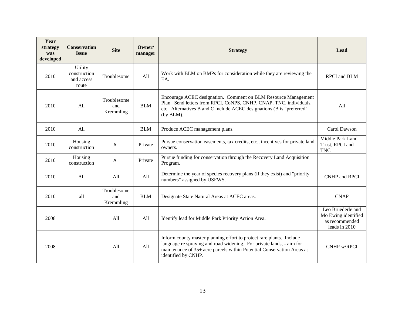| Year<br>strategy<br>was<br>developed | <b>Conservation</b><br><b>Issue</b>            | <b>Site</b>                     | Owner/<br>manager | <b>Strategy</b>                                                                                                                                                                                                                               | Lead                                                                        |
|--------------------------------------|------------------------------------------------|---------------------------------|-------------------|-----------------------------------------------------------------------------------------------------------------------------------------------------------------------------------------------------------------------------------------------|-----------------------------------------------------------------------------|
| 2010                                 | Utility<br>construction<br>and access<br>route | Troublesome                     | All               | Work with BLM on BMPs for consideration while they are reviewing the<br>EA.                                                                                                                                                                   | RPCI and BLM                                                                |
| 2010                                 | All                                            | Troublesome<br>and<br>Kremmling | <b>BLM</b>        | Encourage ACEC designation. Comment on BLM Resource Management<br>Plan. Send letters from RPCI, CoNPS, CNHP, CNAP, TNC, individuals,<br>etc. Alternatives B and C include ACEC designations (B is "preferred"<br>(by BLM).                    | All                                                                         |
| 2010                                 | All                                            |                                 | <b>BLM</b>        | Produce ACEC management plans.                                                                                                                                                                                                                | Carol Dawson                                                                |
| 2010                                 | Housing<br>construction                        | All                             | Private           | Pursue conservation easements, tax credits, etc., incentives for private land<br>owners.                                                                                                                                                      | Middle Park Land<br>Trust, RPCI and<br><b>TNC</b>                           |
| 2010                                 | Housing<br>construction                        | All                             | Private           | Pursue funding for conservation through the Recovery Land Acquisition<br>Program.                                                                                                                                                             |                                                                             |
| 2010                                 | A11                                            | All                             | All               | Determine the year of species recovery plans (if they exist) and "priority<br>numbers" assigned by USFWS.                                                                                                                                     | <b>CNHP</b> and RPCI                                                        |
| 2010                                 | all                                            | Troublesome<br>and<br>Kremmling | <b>BLM</b>        | Designate State Natural Areas at ACEC areas.                                                                                                                                                                                                  | <b>CNAP</b>                                                                 |
| 2008                                 |                                                | All                             | All               | Identify lead for Middle Park Priority Action Area.                                                                                                                                                                                           | Leo Bruederle and<br>Mo Ewing identified<br>as recommended<br>leads in 2010 |
| 2008                                 |                                                | All                             | All               | Inform county master planning effort to protect rare plants. Include<br>language re spraying and road widening. For private lands, - aim for<br>maintenance of 35+ acre parcels within Potential Conservation Areas as<br>identified by CNHP. | CNHP w/RPCI                                                                 |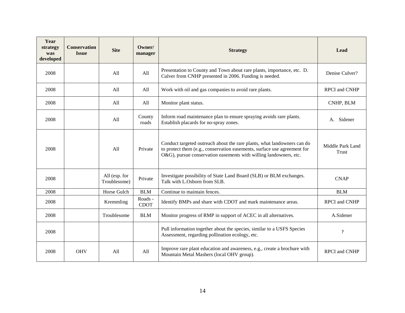| Year<br>strategy<br>was<br>developed | <b>Conservation</b><br><b>Issue</b> | <b>Site</b>                   | Owner/<br>manager      | <b>Strategy</b>                                                                                                                                                                                                          | Lead                      |
|--------------------------------------|-------------------------------------|-------------------------------|------------------------|--------------------------------------------------------------------------------------------------------------------------------------------------------------------------------------------------------------------------|---------------------------|
| 2008                                 |                                     | All                           | All                    | Presentation to County and Town about rare plants, importance, etc. D.<br>Culver from CNHP presented in 2006. Funding is needed.                                                                                         | Denise Culver?            |
| 2008                                 |                                     | A11                           | A11                    | Work with oil and gas companies to avoid rare plants.                                                                                                                                                                    | <b>RPCI</b> and CNHP      |
| 2008                                 |                                     | All                           | All                    | Monitor plant status.                                                                                                                                                                                                    | CNHP, BLM                 |
| 2008                                 |                                     | All                           | County<br>roads        | Inform road maintenance plan to ensure spraying avoids rare plants.<br>Establish placards for no-spray zones.                                                                                                            | Sidener<br>А.             |
| 2008                                 |                                     | All                           | Private                | Conduct targeted outreach about the rare plants, what landowners can do<br>to protect them (e.g., conservation easements, surface use agreement for<br>O&G), pursue conservation easements with willing landowners, etc. | Middle Park Land<br>Trust |
| 2008                                 |                                     | All (esp. for<br>Troublesome) | Private                | Investigate possibility of State Land Board (SLB) or BLM exchanges.<br>Talk with L.Osborn from SLB.                                                                                                                      | <b>CNAP</b>               |
| 2008                                 |                                     | Horse Gulch                   | <b>BLM</b>             | Continue to maintain fences.                                                                                                                                                                                             | <b>BLM</b>                |
| 2008                                 |                                     | Kremmling                     | Roads -<br><b>CDOT</b> | Identify BMPs and share with CDOT and mark maintenance areas.                                                                                                                                                            | <b>RPCI</b> and CNHP      |
| 2008                                 |                                     | Troublesome                   | <b>BLM</b>             | Monitor progress of RMP in support of ACEC in all alternatives.                                                                                                                                                          | A.Sidener                 |
| 2008                                 |                                     |                               |                        | Pull information together about the species, similar to a USFS Species<br>Assessment, regarding pollination ecology, etc.                                                                                                | 5.                        |
| 2008                                 | <b>OHV</b>                          | A11                           | All                    | Improve rare plant education and awareness, e.g., create a brochure with<br>Mountain Metal Mashers (local OHV group).                                                                                                    | <b>RPCI</b> and CNHP      |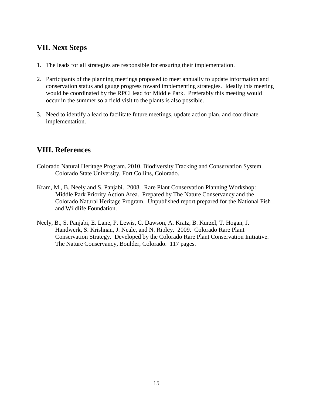### <span id="page-15-0"></span>**VII. Next Steps**

- 1. The leads for all strategies are responsible for ensuring their implementation.
- 2. Participants of the planning meetings proposed to meet annually to update information and conservation status and gauge progress toward implementing strategies. Ideally this meeting would be coordinated by the RPCI lead for Middle Park. Preferably this meeting would occur in the summer so a field visit to the plants is also possible.
- 3. Need to identify a lead to facilitate future meetings, update action plan, and coordinate implementation.

# <span id="page-15-1"></span>**VIII. References**

- Colorado Natural Heritage Program. 2010. Biodiversity Tracking and Conservation System. Colorado State University, Fort Collins, Colorado.
- Kram, M., B. Neely and S. Panjabi. 2008. Rare Plant Conservation Planning Workshop: Middle Park Priority Action Area. Prepared by The Nature Conservancy and the Colorado Natural Heritage Program. Unpublished report prepared for the National Fish and Wildlife Foundation.
- Neely, B., S. Panjabi, E. Lane, P. Lewis, C. Dawson, A. Kratz, B. Kurzel, T. Hogan, J. Handwerk, S. Krishnan, J. Neale, and N. Ripley. 2009. Colorado Rare Plant Conservation Strategy. Developed by the Colorado Rare Plant Conservation Initiative. The Nature Conservancy, Boulder, Colorado. 117 pages.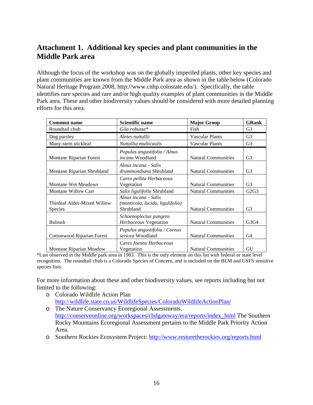# <span id="page-16-0"></span>**Attachment 1. Additional key species and plant communities in the Middle Park area**

Although the focus of the workshop was on the globally imperiled plants, other key species and plant communities are known from the Middle Park area as shown in the table below (Colorado Natural Heritage Program 2008, http://www.cnhp.colostate.edu/). Specifically, the table identifies rare species and rare and/or high quality examples of plant communities in the Middle Park area. These and other biodiversity values should be considered with more detailed planning efforts for this area.

| <b>Common name</b>                            | <b>Scientific name</b>                                                | <b>Major Group</b>         | <b>GRank</b>   |
|-----------------------------------------------|-----------------------------------------------------------------------|----------------------------|----------------|
| Roundtail chub                                | Gila robusta*                                                         | Fish                       | G3             |
| Dog parsley                                   | Aletes nuttallii                                                      | Vascular Plants            | G <sub>3</sub> |
| Many-stem stickleaf                           | Nuttallia multicaulis                                                 | <b>Vascular Plants</b>     | G <sub>3</sub> |
| Montane Riparian Forest                       | Populus angustifolia / Alnus<br><i>incana</i> Woodland                | <b>Natural Communities</b> | G <sub>3</sub> |
| Montane Riparian Shrubland                    | Alnus incana - Salix<br><i>drummondiana</i> Shrubland                 | <b>Natural Communities</b> | G3             |
| <b>Montane Wet Meadows</b>                    | Carex pellita Herbaceous<br>Vegetation                                | <b>Natural Communities</b> | G3             |
| <b>Montane Willow Carr</b>                    | Salix ligulifolia Shrubland                                           | <b>Natural Communities</b> | G2G3           |
| Thinleaf Alder-Mixed Willow<br><b>Species</b> | Alnus incana - Salix<br>(monticola, lucida, ligulifolia)<br>Shrubland | <b>Natural Communities</b> | G <sub>3</sub> |
| <b>Bulrush</b>                                | Schoenoplectus pungens<br>Herbaceous Vegetation                       | <b>Natural Communities</b> | G3G4           |
| <b>Cottonwood Riparian Forest</b>             | Populus angustifolia / Cornus<br>sericea Woodland                     | <b>Natural Communities</b> | G4             |
| Montane Riparian Meadow                       | Carex foenea Herbaceous<br>Vegetation                                 | <b>Natural Communities</b> | GU             |

\*Last observed in the Middle park area in 1983. This is the only element on this list with federal or state level recognition. The roundtail chub is a Colorado Species of Concern, and is included on the BLM and USFS sensitive species lists.

For more information about these and other biodiversity values, see reports including but not limited to the following:

- o Colorado Wildlife Action Plan <http://wildlife.state.co.us/WildlifeSpecies/ColoradoWildlifeActionPlan/>
- o The Nature Conservancy Ecoregional Assessments. [http://conserveonline.org/workspaces/cbdgateway/era/reports/index\\_html](http://conserveonline.org/workspaces/cbdgateway/era/reports/index_html) The Southern Rocky Mountains Ecoregional Assessment pertains to the Middle Park Priority Action Area.
- o Southern Rockies Ecosystem Project:<http://www.restoretherockies.org/reports.html>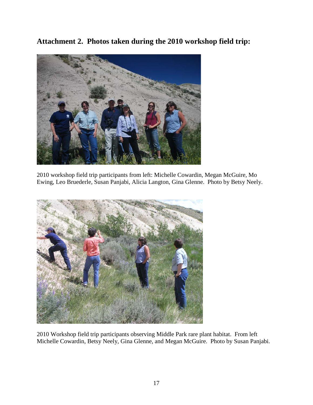<span id="page-17-0"></span>**Attachment 2. Photos taken during the 2010 workshop field trip:**



2010 workshop field trip participants from left: Michelle Cowardin, Megan McGuire, Mo Ewing, Leo Bruederle, Susan Panjabi, Alicia Langton, Gina Glenne. Photo by Betsy Neely.



2010 Workshop field trip participants observing Middle Park rare plant habitat. From left Michelle Cowardin, Betsy Neely, Gina Glenne, and Megan McGuire. Photo by Susan Panjabi.